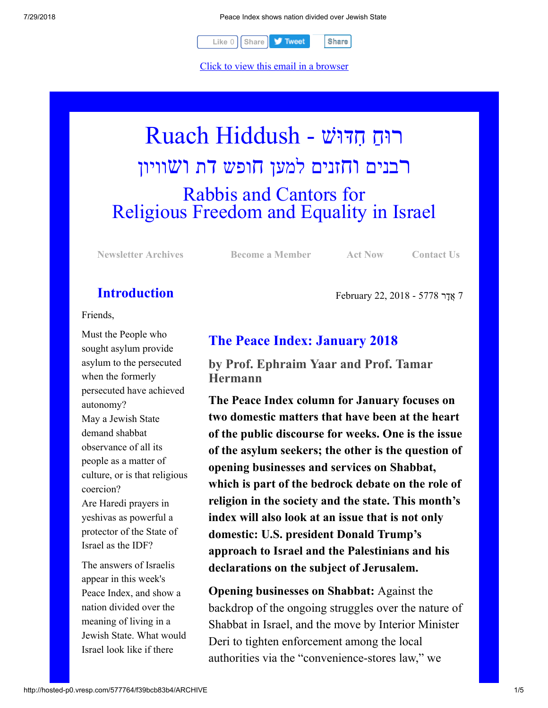

Click to view this email in a browser

# רוּחַ חִדּוּשׁ - Ruach Hiddush רבנים וחזנים למען חופש דת ושוויון Rabbis and Cantors for Religious Freedom and Equality in Israel

**[Newsletter Archives](http://rrfei.org/newsletters/) [Become a Member](http://rrfei.org/about/registration/) [Act Now](http://rrfei.org/act/) [Contact Us](http://rrfei.org/contact-us/)**

7 ֲאָדר 5778 - 2018 22, February

# **Introduction**

Friends,

Must the People who sought asylum provide asylum to the persecuted when the formerly persecuted have achieved autonomy? May a Jewish State demand shabbat observance of all its people as a matter of culture, or is that religious coercion? Are Haredi prayers in yeshivas as powerful a protector of the State of Israel as the IDF?

The answers of Israelis appear in this week's Peace Index, and show a nation divided over the meaning of living in a Jewish State. What would Israel look like if there

# **The Peace Index: January 2018**

**by Prof. Ephraim Yaar and Prof. Tamar Hermann**

**The Peace Index column for January focuses on two domestic matters that have been at the heart of the public discourse for weeks. One is the issue of the asylum seekers; the other is the question of opening businesses and services on Shabbat, which is part of the bedrock debate on the role of religion in the society and the state. This month's index will also look at an issue that is not only domestic: U.S. president Donald Trump's approach to Israel and the Palestinians and his declarations on the subject of Jerusalem.**

**Opening businesses on Shabbat:** Against the backdrop of the ongoing struggles over the nature of Shabbat in Israel, and the move by Interior Minister Deri to tighten enforcement among the local authorities via the "convenience-stores law," we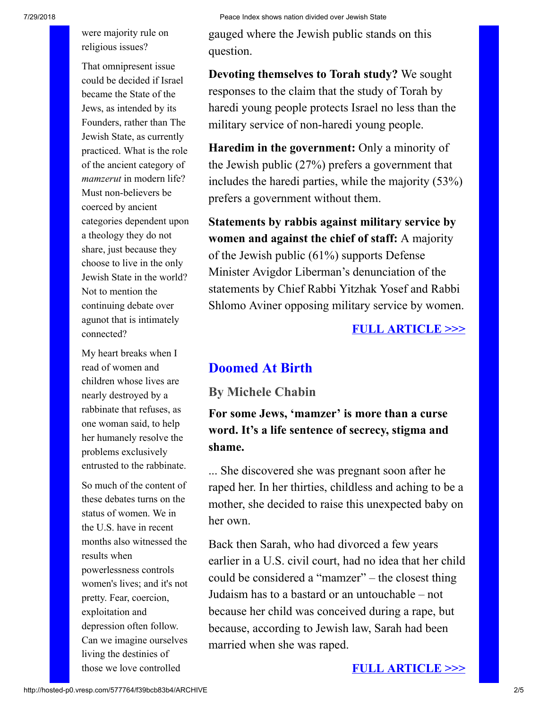were majority rule on religious issues?

That omnipresent issue could be decided if Israel became the State of the Jews, as intended by its Founders, rather than The Jewish State, as currently practiced. What is the role of the ancient category of *mamzerut* in modern life? Must non-believers be coerced by ancient categories dependent upon a theology they do not share, just because they choose to live in the only Jewish State in the world? Not to mention the continuing debate over agunot that is intimately connected?

My heart breaks when I read of women and children whose lives are nearly destroyed by a rabbinate that refuses, as one woman said, to help her humanely resolve the problems exclusively entrusted to the rabbinate.

So much of the content of these debates turns on the status of women. We in the U.S. have in recent months also witnessed the results when powerlessness controls women's lives; and it's not pretty. Fear, coercion, exploitation and depression often follow. Can we imagine ourselves living the destinies of those we love controlled

gauged where the Jewish public stands on this question.

**Devoting themselves to Torah study?** We sought responses to the claim that the study of Torah by haredi young people protects Israel no less than the military service of non-haredi young people.

**Haredim in the government:** Only a minority of the Jewish public (27%) prefers a government that includes the haredi parties, while the majority (53%) prefers a government without them.

**Statements by rabbis against military service by women and against the chief of staff:** A majority of the Jewish public (61%) supports Defense Minister Avigdor Liberman's denunciation of the statements by Chief Rabbi Yitzhak Yosef and Rabbi Shlomo Aviner opposing military service by women.

#### **[FULL ARTICLE >>>](http://www.peaceindex.org/indexMonthEng.aspx?num=329)**

#### **Doomed At Birth**

#### **By Michele Chabin**

**For some Jews, 'mamzer' is more than a curse word. It's a life sentence of secrecy, stigma and shame.**

... She discovered she was pregnant soon after he raped her. In her thirties, childless and aching to be a mother, she decided to raise this unexpected baby on her own.

Back then Sarah, who had divorced a few years earlier in a U.S. civil court, had no idea that her child could be considered a "mamzer" – the closest thing Judaism has to a bastard or an untouchable – not because her child was conceived during a rape, but because, according to Jewish law, Sarah had been married when she was raped.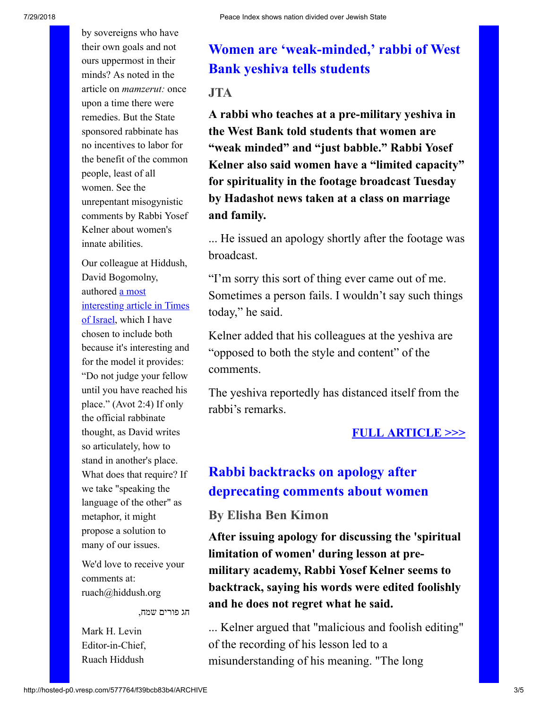by sovereigns who have their own goals and not ours uppermost in their minds? As noted in the article on *mamzerut:* once upon a time there were remedies. But the State sponsored rabbinate has no incentives to labor for the benefit of the common people, least of all women. See the unrepentant misogynistic comments by Rabbi Yosef Kelner about women's innate abilities.

Our colleague at Hiddush, David Bogomolny, authored **a** most [interesting article in Times](http://blogs.timesofisrael.com/speak-to-me-in-arabic/) of Israel, which I have chosen to include both because it's interesting and for the model it provides: "Do not judge your fellow until you have reached his place." (Avot 2:4) If only the official rabbinate thought, as David writes so articulately, how to stand in another's place. What does that require? If we take "speaking the language of the other" as metaphor, it might propose a solution to many of our issues.

We'd love to receive your comments at: ruach@hiddush.org

חג פורים שמח,

Mark H. Levin Editor-in-Chief, Ruach Hiddush

# **Women are 'weak-minded,' rabbi of West Bank yeshiva tells students**

#### **JTA**

**A rabbi who teaches at a pre-military yeshiva in the West Bank told students that women are "weak minded" and "just babble." Rabbi Yosef Kelner also said women have a "limited capacity" for spirituality in the footage broadcast Tuesday by Hadashot news taken at a class on marriage and family.**

... He issued an apology shortly after the footage was broadcast.

"I'm sorry this sort of thing ever came out of me. Sometimes a person fails. I wouldn't say such things today," he said.

Kelner added that his colleagues at the yeshiva are "opposed to both the style and content" of the comments.

The yeshiva reportedly has distanced itself from the rabbi's remarks.

## **[FULL ARTICLE >>>](https://cujf.org/jta/1515019)**

# **Rabbi backtracks on apology after deprecating comments about women**

#### **By Elisha Ben Kimon**

**After issuing apology for discussing the 'spiritual limitation of women' during lesson at premilitary academy, Rabbi Yosef Kelner seems to backtrack, saying his words were edited foolishly and he does not regret what he said.**

... Kelner argued that "malicious and foolish editing" of the recording of his lesson led to a misunderstanding of his meaning. "The long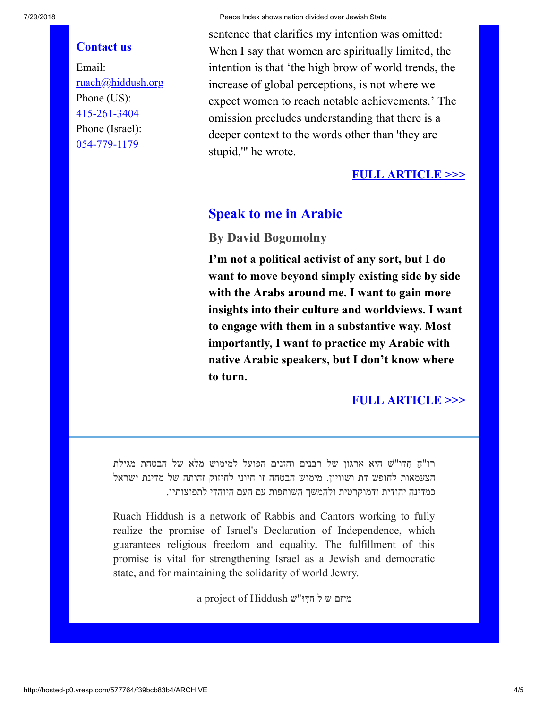### **Contact us**

Email: [ruach@hiddush.org](http://hosted-p0.vresp.com/577764/f39bcb83b4/ruach@hiddush.org) Phone (US): [415-261-3404](callto:415-261-3404) Phone (Israel): [054-779-1179](callto:054-779-1179)

sentence that clarifies my intention was omitted: When I say that women are spiritually limited, the intention is that 'the high brow of world trends, the increase of global perceptions, is not where we expect women to reach notable achievements.' The omission precludes understanding that there is a deeper context to the words other than 'they are stupid,'" he wrote.

#### **[FULL ARTICLE >>>](https://www.ynetnews.com/articles/0,7340,L-5110384,00.html)**

## **Speak to me in Arabic**

### **By David Bogomolny**

**I'm not a political activist of any sort, but I do want to move beyond simply existing side by side with the Arabs around me. I want to gain more insights into their culture and worldviews. I want to engage with them in a substantive way. Most importantly, I want to practice my Arabic with native Arabic speakers, but I don't know where to turn.**

#### **[FULL ARTICLE >>>](http://blogs.timesofisrael.com/speak-to-me-in-arabic/)**

ַ רוּ"ח ִ ּ חדוּ"שׁ היא ארגון של רבנים וחזנים הפועל למימוש מלא של הבטחת מגילת הצעמאות לחופש דת ושוויון. מימוש הבטחה זו חיוני לחיזוק זהותה של מדינת ישראל כמדינה יהודית ודמוקרטית ולהמשך השותפות עם העם היוהדי לתפוצותיו.

Ruach Hiddush is a network of Rabbis and Cantors working to fully realize the promise of Israel's Declaration of Independence, which guarantees religious freedom and equality. The fulfillment of this promise is vital for strengthening Israel as a Jewish and democratic state, and for maintaining the solidarity of world Jewry.

a project of Hiddush מיזם ש ל חדִּוּ"ש